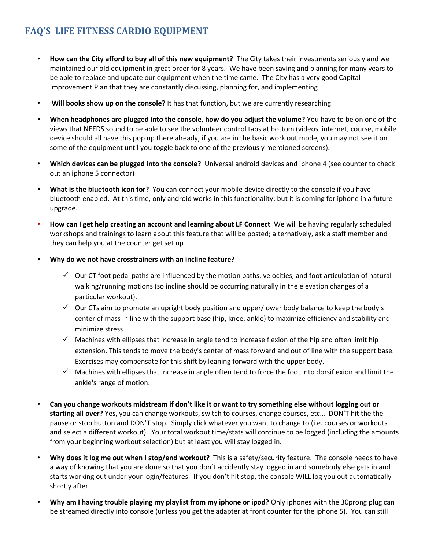## **FAQ'S LIFE FITNESS CARDIO EQUIPMENT**

- **How can the City afford to buy all of this new equipment?** The City takes their investments seriously and we maintained our old equipment in great order for 8 years. We have been saving and planning for many years to be able to replace and update our equipment when the time came. The City has a very good Capital Improvement Plan that they are constantly discussing, planning for, and implementing
- **Will books show up on the console?** It has that function, but we are currently researching
- **When headphones are plugged into the console, how do you adjust the volume?** You have to be on one of the views that NEEDS sound to be able to see the volunteer control tabs at bottom (videos, internet, course, mobile device should all have this pop up there already; if you are in the basic work out mode, you may not see it on some of the equipment until you toggle back to one of the previously mentioned screens).
- **Which devices can be plugged into the console?** Universal android devices and iphone 4 (see counter to check out an iphone 5 connector)
- **What is the bluetooth icon for?** You can connect your mobile device directly to the console if you have bluetooth enabled. At this time, only android works in this functionality; but it is coming for iphone in a future upgrade.
- **How can I get help creating an account and learning about LF Connect** We will be having regularly scheduled workshops and trainings to learn about this feature that will be posted; alternatively, ask a staff member and they can help you at the counter get set up
- **Why do we not have crosstrainers with an incline feature?**
	- $\checkmark$  Our CT foot pedal paths are influenced by the motion paths, velocities, and foot articulation of natural walking/running motions (so incline should be occurring naturally in the elevation changes of a particular workout).
	- $\checkmark$  Our CTs aim to promote an upright body position and upper/lower body balance to keep the body's center of mass in line with the support base (hip, knee, ankle) to maximize efficiency and stability and minimize stress
	- $\checkmark$  Machines with ellipses that increase in angle tend to increase flexion of the hip and often limit hip extension. This tends to move the body's center of mass forward and out of line with the support base. Exercises may compensate for this shift by leaning forward with the upper body.
	- $\checkmark$  Machines with ellipses that increase in angle often tend to force the foot into dorsiflexion and limit the ankle's range of motion.
- **Can you change workouts midstream if don't like it or want to try something else without logging out or starting all over?** Yes, you can change workouts, switch to courses, change courses, etc… DON'T hit the the pause or stop button and DON'T stop. Simply click whatever you want to change to (i.e. courses or workouts and select a different workout). Your total workout time/stats will continue to be logged (including the amounts from your beginning workout selection) but at least you will stay logged in.
- **Why does it log me out when I stop/end workout?** This is a safety/security feature. The console needs to have a way of knowing that you are done so that you don't accidently stay logged in and somebody else gets in and starts working out under your login/features. If you don't hit stop, the console WILL log you out automatically shortly after.
- **Why am I having trouble playing my playlist from my iphone or ipod?** Only iphones with the 30prong plug can be streamed directly into console (unless you get the adapter at front counter for the iphone 5). You can still